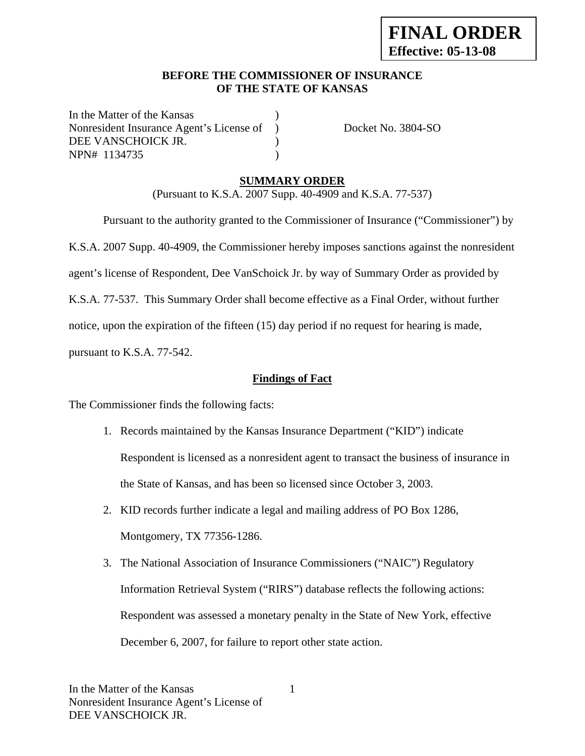## **BEFORE THE COMMISSIONER OF INSURANCE OF THE STATE OF KANSAS**

In the Matter of the Kansas Nonresident Insurance Agent's License of ) Docket No. 3804-SO DEE VANSCHOICK JR. NPN# 1134735 )

# **SUMMARY ORDER**

(Pursuant to K.S.A. 2007 Supp. 40-4909 and K.S.A. 77-537)

 Pursuant to the authority granted to the Commissioner of Insurance ("Commissioner") by K.S.A. 2007 Supp. 40-4909, the Commissioner hereby imposes sanctions against the nonresident agent's license of Respondent, Dee VanSchoick Jr. by way of Summary Order as provided by K.S.A. 77-537. This Summary Order shall become effective as a Final Order, without further notice, upon the expiration of the fifteen (15) day period if no request for hearing is made, pursuant to K.S.A. 77-542.

**Findings of Fact**

The Commissioner finds the following facts:

- 1. Records maintained by the Kansas Insurance Department ("KID") indicate Respondent is licensed as a nonresident agent to transact the business of insurance in the State of Kansas, and has been so licensed since October 3, 2003.
- 2. KID records further indicate a legal and mailing address of PO Box 1286, Montgomery, TX 77356-1286.
- 3. The National Association of Insurance Commissioners ("NAIC") Regulatory Information Retrieval System ("RIRS") database reflects the following actions: Respondent was assessed a monetary penalty in the State of New York, effective December 6, 2007, for failure to report other state action.

1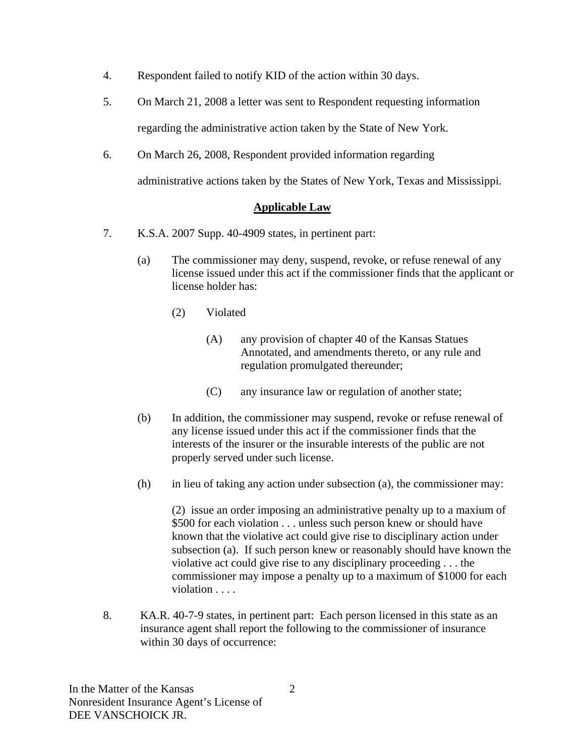- 4. Respondent failed to notify KID of the action within 30 days.
- 5. On March 21, 2008 a letter was sent to Respondent requesting information regarding the administrative action taken by the State of New York.
- 6. On March 26, 2008, Respondent provided information regarding

administrative actions taken by the States of New York, Texas and Mississippi.

## **Applicable Law**

- 7. K.S.A. 2007 Supp. 40-4909 states, in pertinent part:
	- (a) The commissioner may deny, suspend, revoke, or refuse renewal of any license issued under this act if the commissioner finds that the applicant or license holder has:
		- (2) Violated
			- (A) any provision of chapter 40 of the Kansas Statues Annotated, and amendments thereto, or any rule and regulation promulgated thereunder;
			- (C) any insurance law or regulation of another state;
	- (b) In addition, the commissioner may suspend, revoke or refuse renewal of any license issued under this act if the commissioner finds that the interests of the insurer or the insurable interests of the public are not properly served under such license.
	- (h) in lieu of taking any action under subsection (a), the commissioner may:

(2) issue an order imposing an administrative penalty up to a maxium of \$500 for each violation . . . unless such person knew or should have known that the violative act could give rise to disciplinary action under subsection (a). If such person knew or reasonably should have known the violative act could give rise to any disciplinary proceeding . . . the commissioner may impose a penalty up to a maximum of \$1000 for each violation . . . .

8. KA.R. 40-7-9 states, in pertinent part: Each person licensed in this state as an insurance agent shall report the following to the commissioner of insurance within 30 days of occurrence: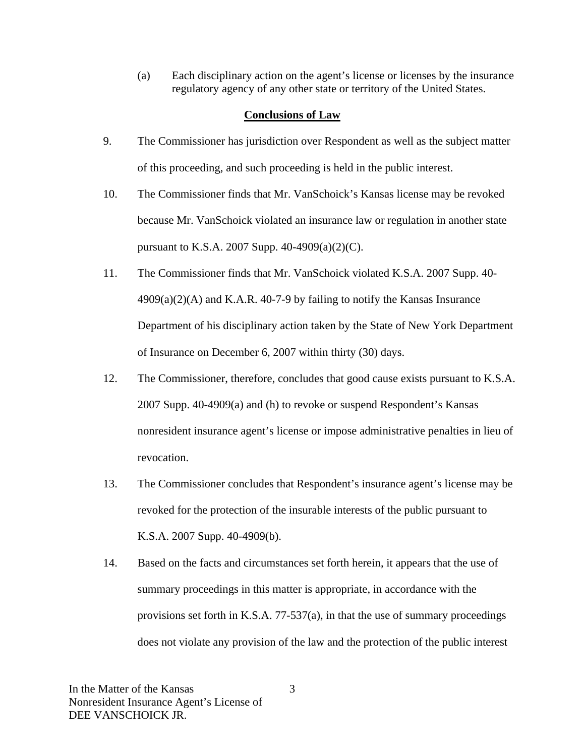(a) Each disciplinary action on the agent's license or licenses by the insurance regulatory agency of any other state or territory of the United States.

### **Conclusions of Law**

- 9. The Commissioner has jurisdiction over Respondent as well as the subject matter of this proceeding, and such proceeding is held in the public interest.
- 10. The Commissioner finds that Mr. VanSchoick's Kansas license may be revoked because Mr. VanSchoick violated an insurance law or regulation in another state pursuant to K.S.A. 2007 Supp. 40-4909(a)(2)(C).
- 11. The Commissioner finds that Mr. VanSchoick violated K.S.A. 2007 Supp. 40-  $4909(a)(2)(A)$  and K.A.R. 40-7-9 by failing to notify the Kansas Insurance Department of his disciplinary action taken by the State of New York Department of Insurance on December 6, 2007 within thirty (30) days.
- 12. The Commissioner, therefore, concludes that good cause exists pursuant to K.S.A. 2007 Supp. 40-4909(a) and (h) to revoke or suspend Respondent's Kansas nonresident insurance agent's license or impose administrative penalties in lieu of revocation.
- 13. The Commissioner concludes that Respondent's insurance agent's license may be revoked for the protection of the insurable interests of the public pursuant to K.S.A. 2007 Supp. 40-4909(b).
- 14. Based on the facts and circumstances set forth herein, it appears that the use of summary proceedings in this matter is appropriate, in accordance with the provisions set forth in K.S.A. 77-537(a), in that the use of summary proceedings does not violate any provision of the law and the protection of the public interest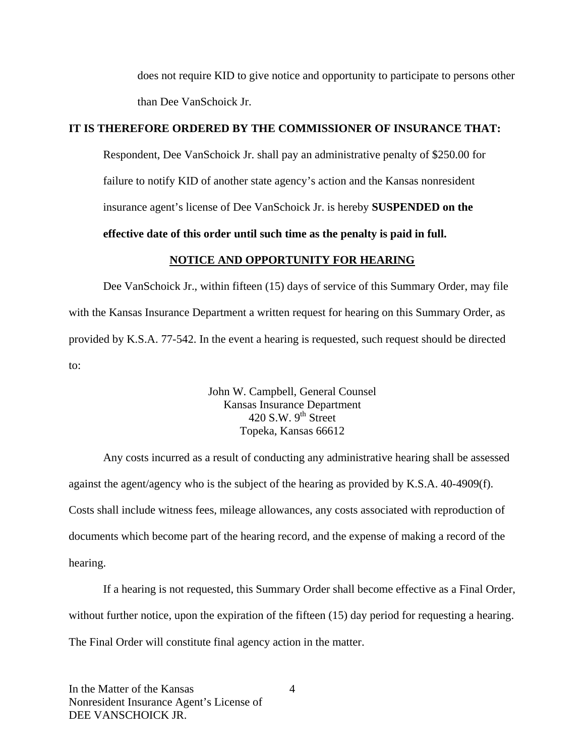does not require KID to give notice and opportunity to participate to persons other than Dee VanSchoick Jr.

## **IT IS THEREFORE ORDERED BY THE COMMISSIONER OF INSURANCE THAT:**

Respondent, Dee VanSchoick Jr. shall pay an administrative penalty of \$250.00 for failure to notify KID of another state agency's action and the Kansas nonresident insurance agent's license of Dee VanSchoick Jr. is hereby **SUSPENDED on the** 

## **effective date of this order until such time as the penalty is paid in full.**

#### **NOTICE AND OPPORTUNITY FOR HEARING**

Dee VanSchoick Jr., within fifteen (15) days of service of this Summary Order, may file with the Kansas Insurance Department a written request for hearing on this Summary Order, as provided by K.S.A. 77-542. In the event a hearing is requested, such request should be directed to:

> John W. Campbell, General Counsel Kansas Insurance Department 420 S.W.  $9^{th}$  Street Topeka, Kansas 66612

Any costs incurred as a result of conducting any administrative hearing shall be assessed against the agent/agency who is the subject of the hearing as provided by K.S.A. 40-4909(f). Costs shall include witness fees, mileage allowances, any costs associated with reproduction of documents which become part of the hearing record, and the expense of making a record of the hearing.

If a hearing is not requested, this Summary Order shall become effective as a Final Order, without further notice, upon the expiration of the fifteen (15) day period for requesting a hearing. The Final Order will constitute final agency action in the matter.